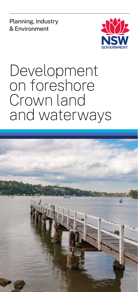Planning, Industry & Environment



# Development on foreshore Crown land and waterways